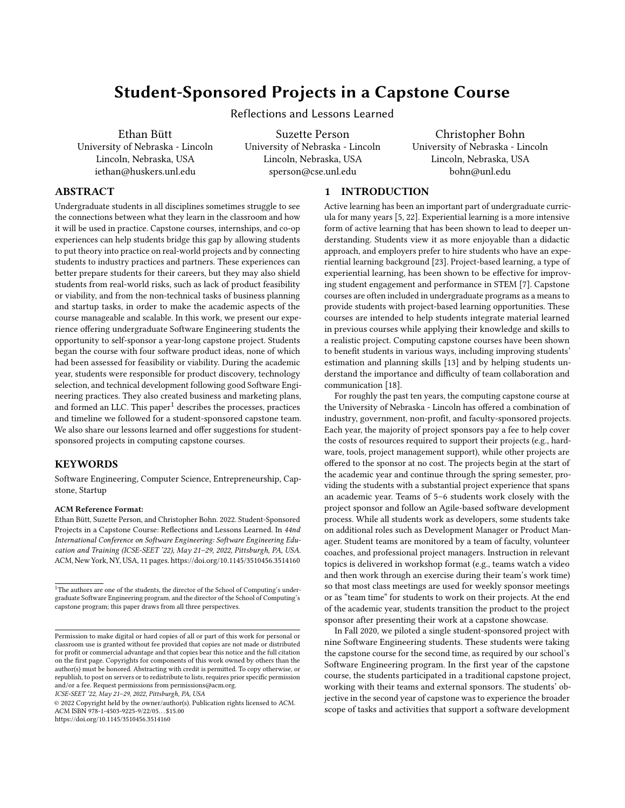# Student-Sponsored Projects in a Capstone Course

Reflections and Lessons Learned

Ethan Bütt University of Nebraska - Lincoln Lincoln, Nebraska, USA iethan@huskers.unl.edu

Suzette Person University of Nebraska - Lincoln Lincoln, Nebraska, USA sperson@cse.unl.edu

Christopher Bohn University of Nebraska - Lincoln Lincoln, Nebraska, USA bohn@unl.edu

# ABSTRACT

Undergraduate students in all disciplines sometimes struggle to see the connections between what they learn in the classroom and how it will be used in practice. Capstone courses, internships, and co-op experiences can help students bridge this gap by allowing students to put theory into practice on real-world projects and by connecting students to industry practices and partners. These experiences can better prepare students for their careers, but they may also shield students from real-world risks, such as lack of product feasibility or viability, and from the non-technical tasks of business planning and startup tasks, in order to make the academic aspects of the course manageable and scalable. In this work, we present our experience offering undergraduate Software Engineering students the opportunity to self-sponsor a year-long capstone project. Students began the course with four software product ideas, none of which had been assessed for feasibility or viability. During the academic year, students were responsible for product discovery, technology selection, and technical development following good Software Engineering practices. They also created business and marketing plans, and formed an LLC. This paper $1$  describes the processes, practices and timeline we followed for a student-sponsored capstone team. We also share our lessons learned and offer suggestions for studentsponsored projects in computing capstone courses.

# **KEYWORDS**

Software Engineering, Computer Science, Entrepreneurship, Capstone, Startup

#### ACM Reference Format:

Ethan Bütt, Suzette Person, and Christopher Bohn. 2022. Student-Sponsored Projects in a Capstone Course: Reflections and Lessons Learned. In 44nd International Conference on Software Engineering: Software Engineering Education and Training (ICSE-SEET '22), May 21–29, 2022, Pittsburgh, PA, USA. ACM, New York, NY, USA, [11](#page-10-0) pages.<https://doi.org/10.1145/3510456.3514160>

ICSE-SEET '22, May 21–29, 2022, Pittsburgh, PA, USA

# 1 INTRODUCTION

Active learning has been an important part of undergraduate curricula for many years [\[5,](#page-9-0) [22\]](#page-10-1). Experiential learning is a more intensive form of active learning that has been shown to lead to deeper understanding. Students view it as more enjoyable than a didactic approach, and employers prefer to hire students who have an experiential learning background [\[23\]](#page-10-2). Project-based learning, a type of experiential learning, has been shown to be effective for improving student engagement and performance in STEM [\[7\]](#page-9-1). Capstone courses are often included in undergraduate programs as a means to provide students with project-based learning opportunities. These courses are intended to help students integrate material learned in previous courses while applying their knowledge and skills to a realistic project. Computing capstone courses have been shown to benefit students in various ways, including improving students' estimation and planning skills [\[13\]](#page-10-3) and by helping students understand the importance and difficulty of team collaboration and communication [\[18\]](#page-10-4).

For roughly the past ten years, the computing capstone course at the University of Nebraska - Lincoln has offered a combination of industry, government, non-profit, and faculty-sponsored projects. Each year, the majority of project sponsors pay a fee to help cover the costs of resources required to support their projects (e.g., hardware, tools, project management support), while other projects are offered to the sponsor at no cost. The projects begin at the start of the academic year and continue through the spring semester, providing the students with a substantial project experience that spans an academic year. Teams of 5–6 students work closely with the project sponsor and follow an Agile-based software development process. While all students work as developers, some students take on additional roles such as Development Manager or Product Manager. Student teams are monitored by a team of faculty, volunteer coaches, and professional project managers. Instruction in relevant topics is delivered in workshop format (e.g., teams watch a video and then work through an exercise during their team's work time) so that most class meetings are used for weekly sponsor meetings or as "team time" for students to work on their projects. At the end of the academic year, students transition the product to the project sponsor after presenting their work at a capstone showcase.

In Fall 2020, we piloted a single student-sponsored project with nine Software Engineering students. These students were taking the capstone course for the second time, as required by our school's Software Engineering program. In the first year of the capstone course, the students participated in a traditional capstone project, working with their teams and external sponsors. The students' objective in the second year of capstone was to experience the broader scope of tasks and activities that support a software development

<span id="page-0-0"></span><sup>&</sup>lt;sup>1</sup>The authors are one of the students, the director of the School of Computing's undergraduate Software Engineering program, and the director of the School of Computing's capstone program; this paper draws from all three perspectives.

Permission to make digital or hard copies of all or part of this work for personal or classroom use is granted without fee provided that copies are not made or distributed for profit or commercial advantage and that copies bear this notice and the full citation on the first page. Copyrights for components of this work owned by others than the author(s) must be honored. Abstracting with credit is permitted. To copy otherwise, or republish, to post on servers or to redistribute to lists, requires prior specific permission and/or a fee. Request permissions from permissions@acm.org.

<sup>©</sup> 2022 Copyright held by the owner/author(s). Publication rights licensed to ACM. ACM ISBN 978-1-4503-9225-9/22/05. . . \$15.00 <https://doi.org/10.1145/3510456.3514160>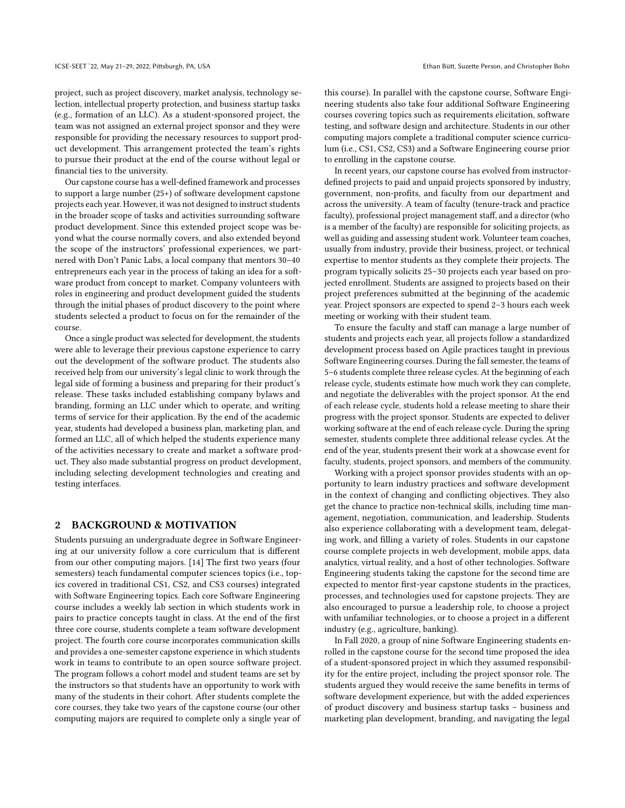project, such as project discovery, market analysis, technology selection, intellectual property protection, and business startup tasks (e.g., formation of an LLC). As a student-sponsored project, the team was not assigned an external project sponsor and they were responsible for providing the necessary resources to support product development. This arrangement protected the team's rights to pursue their product at the end of the course without legal or financial ties to the university.

Our capstone course has a well-defined framework and processes to support a large number (25+) of software development capstone projects each year. However, it was not designed to instruct students in the broader scope of tasks and activities surrounding software product development. Since this extended project scope was beyond what the course normally covers, and also extended beyond the scope of the instructors' professional experiences, we partnered with Don't Panic Labs, a local company that mentors 30–40 entrepreneurs each year in the process of taking an idea for a software product from concept to market. Company volunteers with roles in engineering and product development guided the students through the initial phases of product discovery to the point where students selected a product to focus on for the remainder of the course.

Once a single product was selected for development, the students were able to leverage their previous capstone experience to carry out the development of the software product. The students also received help from our university's legal clinic to work through the legal side of forming a business and preparing for their product's release. These tasks included establishing company bylaws and branding, forming an LLC under which to operate, and writing terms of service for their application. By the end of the academic year, students had developed a business plan, marketing plan, and formed an LLC, all of which helped the students experience many of the activities necessary to create and market a software product. They also made substantial progress on product development, including selecting development technologies and creating and testing interfaces.

#### 2 BACKGROUND & MOTIVATION

Students pursuing an undergraduate degree in Software Engineering at our university follow a core curriculum that is different from our other computing majors. [\[14\]](#page-10-5) The first two years (four semesters) teach fundamental computer sciences topics (i.e., topics covered in traditional CS1, CS2, and CS3 courses) integrated with Software Engineering topics. Each core Software Engineering course includes a weekly lab section in which students work in pairs to practice concepts taught in class. At the end of the first three core course, students complete a team software development project. The fourth core course incorporates communication skills and provides a one-semester capstone experience in which students work in teams to contribute to an open source software project. The program follows a cohort model and student teams are set by the instructors so that students have an opportunity to work with many of the students in their cohort. After students complete the core courses, they take two years of the capstone course (our other computing majors are required to complete only a single year of

this course). In parallel with the capstone course, Software Engineering students also take four additional Software Engineering courses covering topics such as requirements elicitation, software testing, and software design and architecture. Students in our other computing majors complete a traditional computer science curriculum (i.e., CS1, CS2, CS3) and a Software Engineering course prior to enrolling in the capstone course.

In recent years, our capstone course has evolved from instructordefined projects to paid and unpaid projects sponsored by industry, government, non-profits, and faculty from our department and across the university. A team of faculty (tenure-track and practice faculty), professional project management staff, and a director (who is a member of the faculty) are responsible for soliciting projects, as well as guiding and assessing student work. Volunteer team coaches, usually from industry, provide their business, project, or technical expertise to mentor students as they complete their projects. The program typically solicits 25–30 projects each year based on projected enrollment. Students are assigned to projects based on their project preferences submitted at the beginning of the academic year. Project sponsors are expected to spend 2–3 hours each week meeting or working with their student team.

To ensure the faculty and staff can manage a large number of students and projects each year, all projects follow a standardized development process based on Agile practices taught in previous Software Engineering courses. During the fall semester, the teams of 5–6 students complete three release cycles. At the beginning of each release cycle, students estimate how much work they can complete, and negotiate the deliverables with the project sponsor. At the end of each release cycle, students hold a release meeting to share their progress with the project sponsor. Students are expected to deliver working software at the end of each release cycle. During the spring semester, students complete three additional release cycles. At the end of the year, students present their work at a showcase event for faculty, students, project sponsors, and members of the community.

Working with a project sponsor provides students with an opportunity to learn industry practices and software development in the context of changing and conflicting objectives. They also get the chance to practice non-technical skills, including time management, negotiation, communication, and leadership. Students also experience collaborating with a development team, delegating work, and filling a variety of roles. Students in our capstone course complete projects in web development, mobile apps, data analytics, virtual reality, and a host of other technologies. Software Engineering students taking the capstone for the second time are expected to mentor first-year capstone students in the practices, processes, and technologies used for capstone projects. They are also encouraged to pursue a leadership role, to choose a project with unfamiliar technologies, or to choose a project in a different industry (e.g., agriculture, banking).

In Fall 2020, a group of nine Software Engineering students enrolled in the capstone course for the second time proposed the idea of a student-sponsored project in which they assumed responsibility for the entire project, including the project sponsor role. The students argued they would receive the same benefits in terms of software development experience, but with the added experiences of product discovery and business startup tasks – business and marketing plan development, branding, and navigating the legal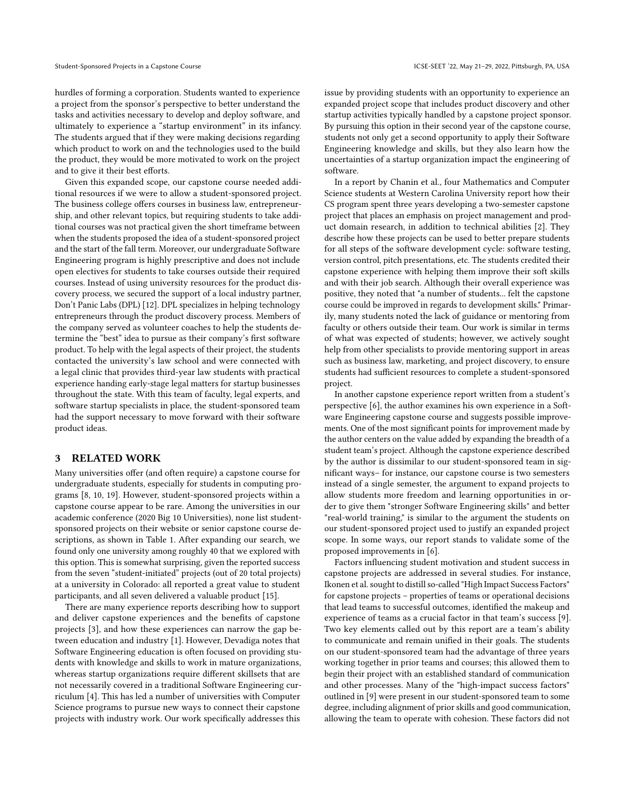hurdles of forming a corporation. Students wanted to experience a project from the sponsor's perspective to better understand the tasks and activities necessary to develop and deploy software, and ultimately to experience a "startup environment" in its infancy. The students argued that if they were making decisions regarding which product to work on and the technologies used to the build the product, they would be more motivated to work on the project and to give it their best efforts.

Given this expanded scope, our capstone course needed additional resources if we were to allow a student-sponsored project. The business college offers courses in business law, entrepreneurship, and other relevant topics, but requiring students to take additional courses was not practical given the short timeframe between when the students proposed the idea of a student-sponsored project and the start of the fall term. Moreover, our undergraduate Software Engineering program is highly prescriptive and does not include open electives for students to take courses outside their required courses. Instead of using university resources for the product discovery process, we secured the support of a local industry partner, Don't Panic Labs (DPL) [\[12\]](#page-10-6). DPL specializes in helping technology entrepreneurs through the product discovery process. Members of the company served as volunteer coaches to help the students determine the "best" idea to pursue as their company's first software product. To help with the legal aspects of their project, the students contacted the university's law school and were connected with a legal clinic that provides third-year law students with practical experience handing early-stage legal matters for startup businesses throughout the state. With this team of faculty, legal experts, and software startup specialists in place, the student-sponsored team had the support necessary to move forward with their software product ideas.

# 3 RELATED WORK

Many universities offer (and often require) a capstone course for undergraduate students, especially for students in computing programs [\[8,](#page-9-2) [10,](#page-10-7) [19\]](#page-10-8). However, student-sponsored projects within a capstone course appear to be rare. Among the universities in our academic conference (2020 Big 10 Universities), none list studentsponsored projects on their website or senior capstone course descriptions, as shown in Table [1.](#page-3-0) After expanding our search, we found only one university among roughly 40 that we explored with this option. This is somewhat surprising, given the reported success from the seven "student-initiated" projects (out of 20 total projects) at a university in Colorado: all reported a great value to student participants, and all seven delivered a valuable product [\[15\]](#page-10-9).

There are many experience reports describing how to support and deliver capstone experiences and the benefits of capstone projects [\[3\]](#page-9-3), and how these experiences can narrow the gap between education and industry [\[1\]](#page-9-4). However, Devadiga notes that Software Engineering education is often focused on providing students with knowledge and skills to work in mature organizations, whereas startup organizations require different skillsets that are not necessarily covered in a traditional Software Engineering curriculum [\[4\]](#page-9-5). This has led a number of universities with Computer Science programs to pursue new ways to connect their capstone projects with industry work. Our work specifically addresses this

issue by providing students with an opportunity to experience an expanded project scope that includes product discovery and other startup activities typically handled by a capstone project sponsor. By pursuing this option in their second year of the capstone course, students not only get a second opportunity to apply their Software Engineering knowledge and skills, but they also learn how the uncertainties of a startup organization impact the engineering of software.

In a report by Chanin et al., four Mathematics and Computer Science students at Western Carolina University report how their CS program spent three years developing a two-semester capstone project that places an emphasis on project management and product domain research, in addition to technical abilities [\[2\]](#page-9-6). They describe how these projects can be used to better prepare students for all steps of the software development cycle: software testing, version control, pitch presentations, etc. The students credited their capstone experience with helping them improve their soft skills and with their job search. Although their overall experience was positive, they noted that "a number of students... felt the capstone course could be improved in regards to development skills." Primarily, many students noted the lack of guidance or mentoring from faculty or others outside their team. Our work is similar in terms of what was expected of students; however, we actively sought help from other specialists to provide mentoring support in areas such as business law, marketing, and project discovery, to ensure students had sufficient resources to complete a student-sponsored project.

In another capstone experience report written from a student's perspective [\[6\]](#page-9-7), the author examines his own experience in a Software Engineering capstone course and suggests possible improvements. One of the most significant points for improvement made by the author centers on the value added by expanding the breadth of a student team's project. Although the capstone experience described by the author is dissimilar to our student-sponsored team in significant ways– for instance, our capstone course is two semesters instead of a single semester, the argument to expand projects to allow students more freedom and learning opportunities in order to give them "stronger Software Engineering skills" and better "real-world training," is similar to the argument the students on our student-sponsored project used to justify an expanded project scope. In some ways, our report stands to validate some of the proposed improvements in [\[6\]](#page-9-7).

Factors influencing student motivation and student success in capstone projects are addressed in several studies. For instance, Ikonen et al. sought to distill so-called "High Impact Success Factors" for capstone projects – properties of teams or operational decisions that lead teams to successful outcomes, identified the makeup and experience of teams as a crucial factor in that team's success [\[9\]](#page-9-8). Two key elements called out by this report are a team's ability to communicate and remain unified in their goals. The students on our student-sponsored team had the advantage of three years working together in prior teams and courses; this allowed them to begin their project with an established standard of communication and other processes. Many of the "high-impact success factors" outlined in [\[9\]](#page-9-8) were present in our student-sponsored team to some degree, including alignment of prior skills and good communication, allowing the team to operate with cohesion. These factors did not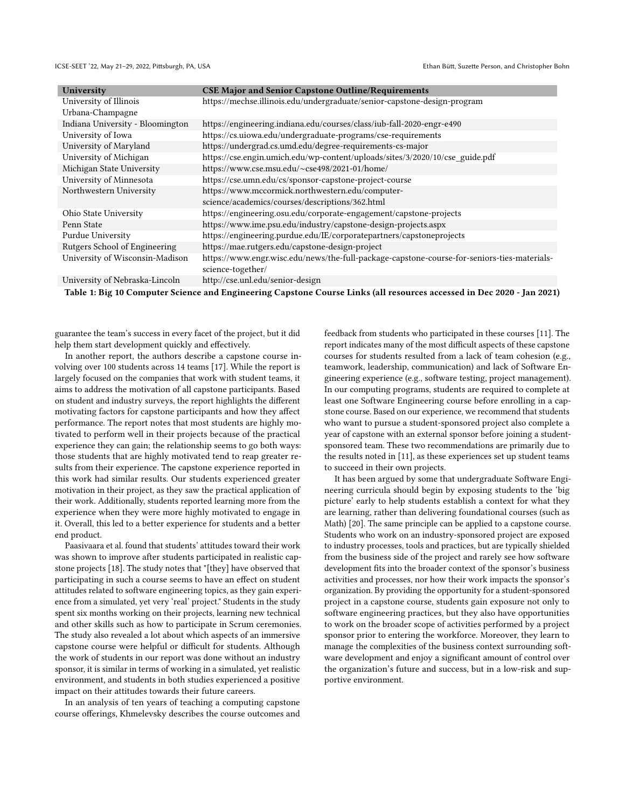ICSE-SEET '22, May 21-29, 2022, Pittsburgh, PA, USA Ethan Bütt, Suzette Person, and Christopher Bohn

<span id="page-3-0"></span>

| University                       | <b>CSE Major and Senior Capstone Outline/Requirements</b>                                                        |  |
|----------------------------------|------------------------------------------------------------------------------------------------------------------|--|
| University of Illinois           | https://mechse.illinois.edu/undergraduate/senior-capstone-design-program                                         |  |
| Urbana-Champagne                 |                                                                                                                  |  |
| Indiana University - Bloomington | https://engineering.indiana.edu/courses/class/iub-fall-2020-engr-e490                                            |  |
| University of Iowa               | https://cs.uiowa.edu/undergraduate-programs/cse-requirements                                                     |  |
| University of Maryland           | https://undergrad.cs.umd.edu/degree-requirements-cs-major                                                        |  |
| University of Michigan           | https://cse.engin.umich.edu/wp-content/uploads/sites/3/2020/10/cse_guide.pdf                                     |  |
| Michigan State University        | https://www.cse.msu.edu/~cse498/2021-01/home/                                                                    |  |
| University of Minnesota          | https://cse.umn.edu/cs/sponsor-capstone-project-course                                                           |  |
| Northwestern University          | https://www.mccormick.northwestern.edu/computer-                                                                 |  |
|                                  | science/academics/courses/descriptions/362.html                                                                  |  |
| Ohio State University            | https://engineering.osu.edu/corporate-engagement/capstone-projects                                               |  |
| Penn State                       | https://www.ime.psu.edu/industry/capstone-design-projects.aspx                                                   |  |
| Purdue University                | https://engineering.purdue.edu/IE/corporatepartners/capstoneprojects                                             |  |
| Rutgers School of Engineering    | https://mae.rutgers.edu/capstone-design-project                                                                  |  |
| University of Wisconsin-Madison  | https://www.engr.wisc.edu/news/the-full-package-capstone-course-for-seniors-ties-materials-<br>science-together/ |  |
| University of Nebraska-Lincoln   | http://cse.unl.edu/senior-design                                                                                 |  |

Table 1: Big 10 Computer Science and Engineering Capstone Course Links (all resources accessed in Dec 2020 - Jan 2021)

guarantee the team's success in every facet of the project, but it did help them start development quickly and effectively.

In another report, the authors describe a capstone course involving over 100 students across 14 teams [\[17\]](#page-10-10). While the report is largely focused on the companies that work with student teams, it aims to address the motivation of all capstone participants. Based on student and industry surveys, the report highlights the different motivating factors for capstone participants and how they affect performance. The report notes that most students are highly motivated to perform well in their projects because of the practical experience they can gain; the relationship seems to go both ways: those students that are highly motivated tend to reap greater results from their experience. The capstone experience reported in this work had similar results. Our students experienced greater motivation in their project, as they saw the practical application of their work. Additionally, students reported learning more from the experience when they were more highly motivated to engage in it. Overall, this led to a better experience for students and a better end product.

Paasivaara et al. found that students' attitudes toward their work was shown to improve after students participated in realistic capstone projects [\[18\]](#page-10-4). The study notes that "[they] have observed that participating in such a course seems to have an effect on student attitudes related to software engineering topics, as they gain experience from a simulated, yet very 'real' project." Students in the study spent six months working on their projects, learning new technical and other skills such as how to participate in Scrum ceremonies. The study also revealed a lot about which aspects of an immersive capstone course were helpful or difficult for students. Although the work of students in our report was done without an industry sponsor, it is similar in terms of working in a simulated, yet realistic environment, and students in both studies experienced a positive impact on their attitudes towards their future careers.

In an analysis of ten years of teaching a computing capstone course offerings, Khmelevsky describes the course outcomes and

feedback from students who participated in these courses [\[11\]](#page-10-11). The report indicates many of the most difficult aspects of these capstone courses for students resulted from a lack of team cohesion (e.g., teamwork, leadership, communication) and lack of Software Engineering experience (e.g., software testing, project management). In our computing programs, students are required to complete at least one Software Engineering course before enrolling in a capstone course. Based on our experience, we recommend that students who want to pursue a student-sponsored project also complete a year of capstone with an external sponsor before joining a studentsponsored team. These two recommendations are primarily due to the results noted in [\[11\]](#page-10-11), as these experiences set up student teams to succeed in their own projects.

It has been argued by some that undergraduate Software Engineering curricula should begin by exposing students to the 'big picture' early to help students establish a context for what they are learning, rather than delivering foundational courses (such as Math) [\[20\]](#page-10-12). The same principle can be applied to a capstone course. Students who work on an industry-sponsored project are exposed to industry processes, tools and practices, but are typically shielded from the business side of the project and rarely see how software development fits into the broader context of the sponsor's business activities and processes, nor how their work impacts the sponsor's organization. By providing the opportunity for a student-sponsored project in a capstone course, students gain exposure not only to software engineering practices, but they also have opportunities to work on the broader scope of activities performed by a project sponsor prior to entering the workforce. Moreover, they learn to manage the complexities of the business context surrounding software development and enjoy a significant amount of control over the organization's future and success, but in a low-risk and supportive environment.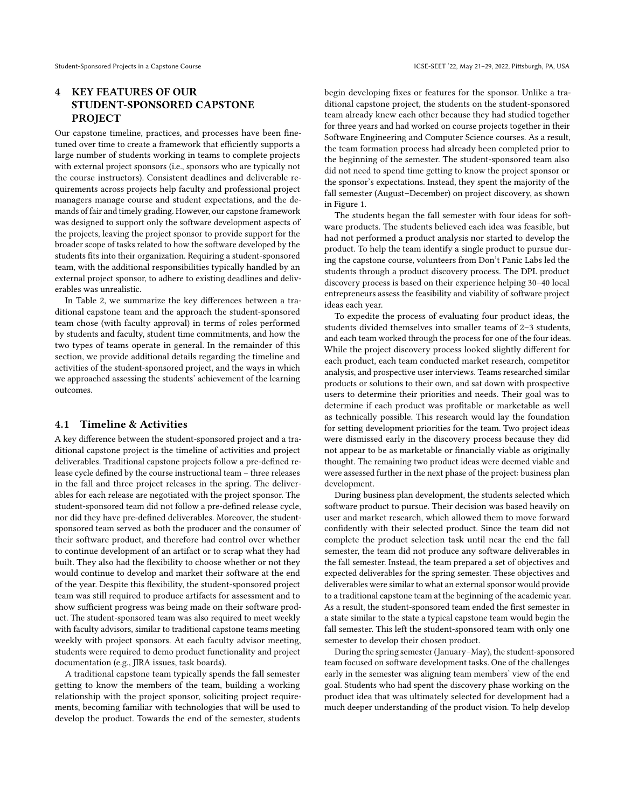# 4 KEY FEATURES OF OUR STUDENT-SPONSORED CAPSTONE **PROJECT**

Our capstone timeline, practices, and processes have been finetuned over time to create a framework that efficiently supports a large number of students working in teams to complete projects with external project sponsors (i.e., sponsors who are typically not the course instructors). Consistent deadlines and deliverable requirements across projects help faculty and professional project managers manage course and student expectations, and the demands of fair and timely grading. However, our capstone framework was designed to support only the software development aspects of the projects, leaving the project sponsor to provide support for the broader scope of tasks related to how the software developed by the students fits into their organization. Requiring a student-sponsored team, with the additional responsibilities typically handled by an external project sponsor, to adhere to existing deadlines and deliverables was unrealistic.

In Table [2,](#page-5-0) we summarize the key differences between a traditional capstone team and the approach the student-sponsored team chose (with faculty approval) in terms of roles performed by students and faculty, student time commitments, and how the two types of teams operate in general. In the remainder of this section, we provide additional details regarding the timeline and activities of the student-sponsored project, and the ways in which we approached assessing the students' achievement of the learning outcomes.

## 4.1 Timeline & Activities

A key difference between the student-sponsored project and a traditional capstone project is the timeline of activities and project deliverables. Traditional capstone projects follow a pre-defined release cycle defined by the course instructional team – three releases in the fall and three project releases in the spring. The deliverables for each release are negotiated with the project sponsor. The student-sponsored team did not follow a pre-defined release cycle, nor did they have pre-defined deliverables. Moreover, the studentsponsored team served as both the producer and the consumer of their software product, and therefore had control over whether to continue development of an artifact or to scrap what they had built. They also had the flexibility to choose whether or not they would continue to develop and market their software at the end of the year. Despite this flexibility, the student-sponsored project team was still required to produce artifacts for assessment and to show sufficient progress was being made on their software product. The student-sponsored team was also required to meet weekly with faculty advisors, similar to traditional capstone teams meeting weekly with project sponsors. At each faculty advisor meeting, students were required to demo product functionality and project documentation (e.g., JIRA issues, task boards).

A traditional capstone team typically spends the fall semester getting to know the members of the team, building a working relationship with the project sponsor, soliciting project requirements, becoming familiar with technologies that will be used to develop the product. Towards the end of the semester, students

begin developing fixes or features for the sponsor. Unlike a traditional capstone project, the students on the student-sponsored team already knew each other because they had studied together for three years and had worked on course projects together in their Software Engineering and Computer Science courses. As a result, the team formation process had already been completed prior to the beginning of the semester. The student-sponsored team also did not need to spend time getting to know the project sponsor or the sponsor's expectations. Instead, they spent the majority of the fall semester (August–December) on project discovery, as shown in Figure [1.](#page-5-1)

The students began the fall semester with four ideas for software products. The students believed each idea was feasible, but had not performed a product analysis nor started to develop the product. To help the team identify a single product to pursue during the capstone course, volunteers from Don't Panic Labs led the students through a product discovery process. The DPL product discovery process is based on their experience helping 30–40 local entrepreneurs assess the feasibility and viability of software project ideas each year.

To expedite the process of evaluating four product ideas, the students divided themselves into smaller teams of 2–3 students, and each team worked through the process for one of the four ideas. While the project discovery process looked slightly different for each product, each team conducted market research, competitor analysis, and prospective user interviews. Teams researched similar products or solutions to their own, and sat down with prospective users to determine their priorities and needs. Their goal was to determine if each product was profitable or marketable as well as technically possible. This research would lay the foundation for setting development priorities for the team. Two project ideas were dismissed early in the discovery process because they did not appear to be as marketable or financially viable as originally thought. The remaining two product ideas were deemed viable and were assessed further in the next phase of the project: business plan development.

During business plan development, the students selected which software product to pursue. Their decision was based heavily on user and market research, which allowed them to move forward confidently with their selected product. Since the team did not complete the product selection task until near the end the fall semester, the team did not produce any software deliverables in the fall semester. Instead, the team prepared a set of objectives and expected deliverables for the spring semester. These objectives and deliverables were similar to what an external sponsor would provide to a traditional capstone team at the beginning of the academic year. As a result, the student-sponsored team ended the first semester in a state similar to the state a typical capstone team would begin the fall semester. This left the student-sponsored team with only one semester to develop their chosen product.

During the spring semester (January–May), the student-sponsored team focused on software development tasks. One of the challenges early in the semester was aligning team members' view of the end goal. Students who had spent the discovery phase working on the product idea that was ultimately selected for development had a much deeper understanding of the product vision. To help develop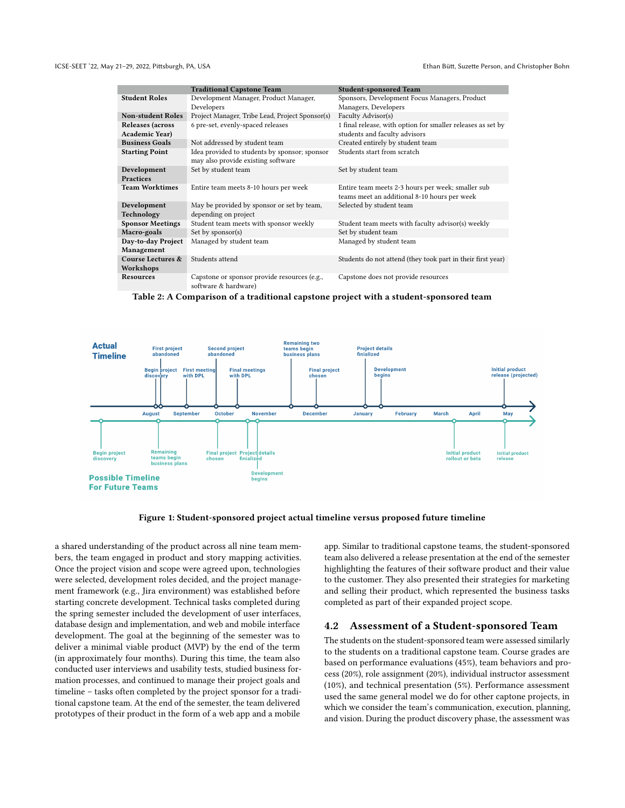<span id="page-5-0"></span>

|                                           | <b>Traditional Capstone Team</b>                                                    | <b>Student-sponsored Team</b>                                                                      |
|-------------------------------------------|-------------------------------------------------------------------------------------|----------------------------------------------------------------------------------------------------|
| <b>Student Roles</b>                      | Development Manager, Product Manager,                                               | Sponsors, Development Focus Managers, Product                                                      |
|                                           | Developers                                                                          | Managers, Developers                                                                               |
| <b>Non-student Roles</b>                  | Project Manager, Tribe Lead, Project Sponsor(s)                                     | Faculty Advisor(s)                                                                                 |
| Releases (across<br><b>Academic Year)</b> | 6 pre-set, evenly-spaced releases                                                   | 1 final release, with option for smaller releases as set by<br>students and faculty advisors       |
| <b>Business Goals</b>                     | Not addressed by student team                                                       | Created entirely by student team                                                                   |
| <b>Starting Point</b>                     | Idea provided to students by sponsor; sponsor<br>may also provide existing software | Students start from scratch                                                                        |
| Development                               | Set by student team                                                                 | Set by student team                                                                                |
| <b>Practices</b>                          |                                                                                     |                                                                                                    |
| <b>Team Worktimes</b>                     | Entire team meets 8-10 hours per week                                               | Entire team meets 2-3 hours per week; smaller sub-<br>teams meet an additional 8-10 hours per week |
|                                           |                                                                                     |                                                                                                    |
| Development                               | May be provided by sponsor or set by team,                                          | Selected by student team                                                                           |
| Technology                                | depending on project                                                                |                                                                                                    |
| <b>Sponsor Meetings</b>                   | Student team meets with sponsor weekly                                              | Student team meets with faculty advisor(s) weekly                                                  |
| Macro-goals                               | Set by sponsor(s)                                                                   | Set by student team                                                                                |
| Day-to-day Project                        | Managed by student team                                                             | Managed by student team                                                                            |
| Management                                |                                                                                     |                                                                                                    |
| Course Lectures &                         | Students attend                                                                     | Students do not attend (they took part in their first year)                                        |
| Workshops                                 |                                                                                     |                                                                                                    |
| <b>Resources</b>                          | Capstone or sponsor provide resources (e.g.,<br>software & hardware)                | Capstone does not provide resources                                                                |



<span id="page-5-1"></span>

Figure 1: Student-sponsored project actual timeline versus proposed future timeline

a shared understanding of the product across all nine team members, the team engaged in product and story mapping activities. Once the project vision and scope were agreed upon, technologies were selected, development roles decided, and the project management framework (e.g., Jira environment) was established before starting concrete development. Technical tasks completed during the spring semester included the development of user interfaces, database design and implementation, and web and mobile interface development. The goal at the beginning of the semester was to deliver a minimal viable product (MVP) by the end of the term (in approximately four months). During this time, the team also conducted user interviews and usability tests, studied business formation processes, and continued to manage their project goals and timeline – tasks often completed by the project sponsor for a traditional capstone team. At the end of the semester, the team delivered prototypes of their product in the form of a web app and a mobile

app. Similar to traditional capstone teams, the student-sponsored team also delivered a release presentation at the end of the semester highlighting the features of their software product and their value to the customer. They also presented their strategies for marketing and selling their product, which represented the business tasks completed as part of their expanded project scope.

#### 4.2 Assessment of a Student-sponsored Team

The students on the student-sponsored team were assessed similarly to the students on a traditional capstone team. Course grades are based on performance evaluations (45%), team behaviors and process (20%), role assignment (20%), individual instructor assessment (10%), and technical presentation (5%). Performance assessment used the same general model we do for other captone projects, in which we consider the team's communication, execution, planning, and vision. During the product discovery phase, the assessment was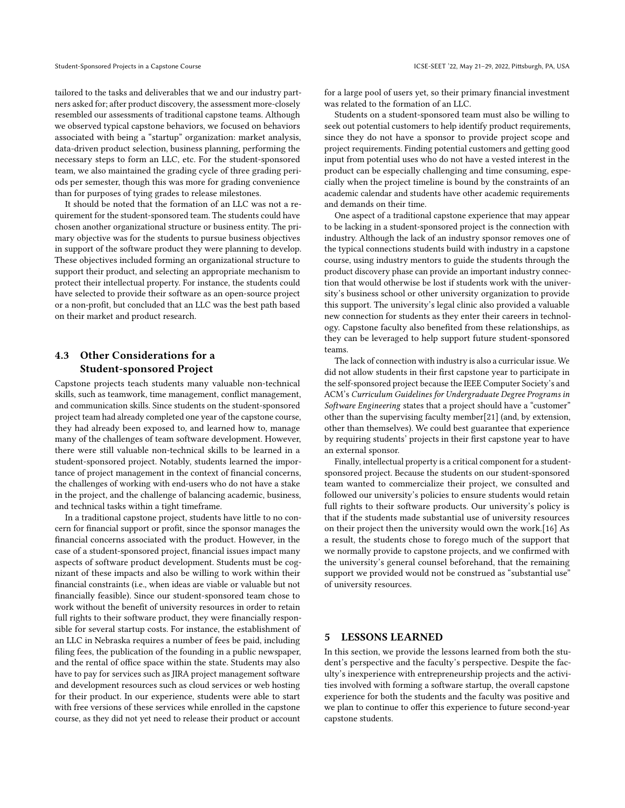tailored to the tasks and deliverables that we and our industry partners asked for; after product discovery, the assessment more-closely resembled our assessments of traditional capstone teams. Although we observed typical capstone behaviors, we focused on behaviors associated with being a "startup" organization: market analysis, data-driven product selection, business planning, performing the necessary steps to form an LLC, etc. For the student-sponsored team, we also maintained the grading cycle of three grading periods per semester, though this was more for grading convenience than for purposes of tying grades to release milestones.

It should be noted that the formation of an LLC was not a requirement for the student-sponsored team. The students could have chosen another organizational structure or business entity. The primary objective was for the students to pursue business objectives in support of the software product they were planning to develop. These objectives included forming an organizational structure to support their product, and selecting an appropriate mechanism to protect their intellectual property. For instance, the students could have selected to provide their software as an open-source project or a non-profit, but concluded that an LLC was the best path based on their market and product research.

# 4.3 Other Considerations for a Student-sponsored Project

Capstone projects teach students many valuable non-technical skills, such as teamwork, time management, conflict management, and communication skills. Since students on the student-sponsored project team had already completed one year of the capstone course, they had already been exposed to, and learned how to, manage many of the challenges of team software development. However, there were still valuable non-technical skills to be learned in a student-sponsored project. Notably, students learned the importance of project management in the context of financial concerns, the challenges of working with end-users who do not have a stake in the project, and the challenge of balancing academic, business, and technical tasks within a tight timeframe.

In a traditional capstone project, students have little to no concern for financial support or profit, since the sponsor manages the financial concerns associated with the product. However, in the case of a student-sponsored project, financial issues impact many aspects of software product development. Students must be cognizant of these impacts and also be willing to work within their financial constraints (i.e., when ideas are viable or valuable but not financially feasible). Since our student-sponsored team chose to work without the benefit of university resources in order to retain full rights to their software product, they were financially responsible for several startup costs. For instance, the establishment of an LLC in Nebraska requires a number of fees be paid, including filing fees, the publication of the founding in a public newspaper, and the rental of office space within the state. Students may also have to pay for services such as JIRA project management software and development resources such as cloud services or web hosting for their product. In our experience, students were able to start with free versions of these services while enrolled in the capstone course, as they did not yet need to release their product or account

for a large pool of users yet, so their primary financial investment was related to the formation of an LLC.

Students on a student-sponsored team must also be willing to seek out potential customers to help identify product requirements, since they do not have a sponsor to provide project scope and project requirements. Finding potential customers and getting good input from potential uses who do not have a vested interest in the product can be especially challenging and time consuming, especially when the project timeline is bound by the constraints of an academic calendar and students have other academic requirements and demands on their time.

One aspect of a traditional capstone experience that may appear to be lacking in a student-sponsored project is the connection with industry. Although the lack of an industry sponsor removes one of the typical connections students build with industry in a capstone course, using industry mentors to guide the students through the product discovery phase can provide an important industry connection that would otherwise be lost if students work with the university's business school or other university organization to provide this support. The university's legal clinic also provided a valuable new connection for students as they enter their careers in technology. Capstone faculty also benefited from these relationships, as they can be leveraged to help support future student-sponsored teams.

The lack of connection with industry is also a curricular issue. We did not allow students in their first capstone year to participate in the self-sponsored project because the IEEE Computer Society's and ACM's Curriculum Guidelines for Undergraduate Degree Programs in Software Engineering states that a project should have a "customer" other than the supervising faculty member[\[21\]](#page-10-13) (and, by extension, other than themselves). We could best guarantee that experience by requiring students' projects in their first capstone year to have an external sponsor.

Finally, intellectual property is a critical component for a studentsponsored project. Because the students on our student-sponsored team wanted to commercialize their project, we consulted and followed our university's policies to ensure students would retain full rights to their software products. Our university's policy is that if the students made substantial use of university resources on their project then the university would own the work.[\[16\]](#page-10-14) As a result, the students chose to forego much of the support that we normally provide to capstone projects, and we confirmed with the university's general counsel beforehand, that the remaining support we provided would not be construed as "substantial use" of university resources.

# 5 LESSONS LEARNED

In this section, we provide the lessons learned from both the student's perspective and the faculty's perspective. Despite the faculty's inexperience with entrepreneurship projects and the activities involved with forming a software startup, the overall capstone experience for both the students and the faculty was positive and we plan to continue to offer this experience to future second-year capstone students.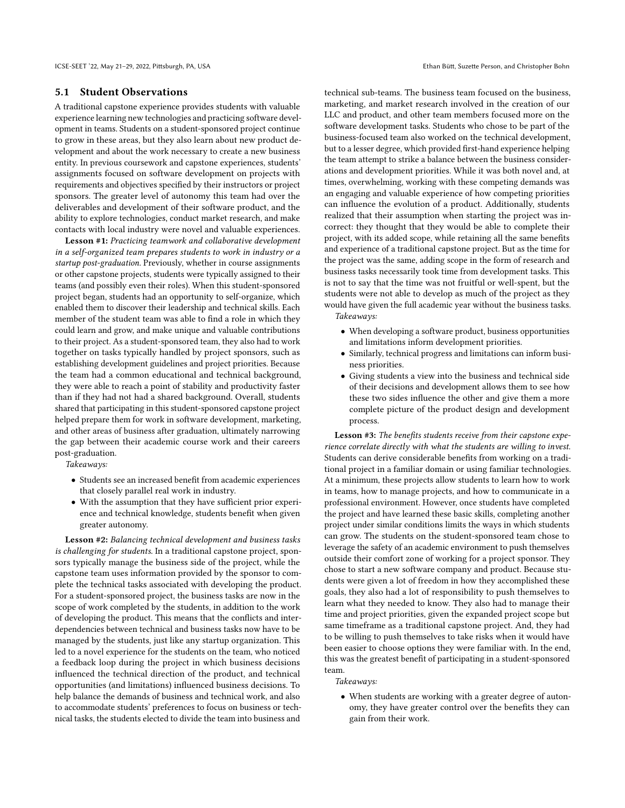### 5.1 Student Observations

A traditional capstone experience provides students with valuable experience learning new technologies and practicing software development in teams. Students on a student-sponsored project continue to grow in these areas, but they also learn about new product development and about the work necessary to create a new business entity. In previous coursework and capstone experiences, students' assignments focused on software development on projects with requirements and objectives specified by their instructors or project sponsors. The greater level of autonomy this team had over the deliverables and development of their software product, and the ability to explore technologies, conduct market research, and make contacts with local industry were novel and valuable experiences.

Lesson #1: Practicing teamwork and collaborative development in a self-organized team prepares students to work in industry or a startup post-graduation. Previously, whether in course assignments or other capstone projects, students were typically assigned to their teams (and possibly even their roles). When this student-sponsored project began, students had an opportunity to self-organize, which enabled them to discover their leadership and technical skills. Each member of the student team was able to find a role in which they could learn and grow, and make unique and valuable contributions to their project. As a student-sponsored team, they also had to work together on tasks typically handled by project sponsors, such as establishing development guidelines and project priorities. Because the team had a common educational and technical background, they were able to reach a point of stability and productivity faster than if they had not had a shared background. Overall, students shared that participating in this student-sponsored capstone project helped prepare them for work in software development, marketing, and other areas of business after graduation, ultimately narrowing the gap between their academic course work and their careers post-graduation.

Takeaways:

- Students see an increased benefit from academic experiences that closely parallel real work in industry.
- With the assumption that they have sufficient prior experience and technical knowledge, students benefit when given greater autonomy.

Lesson #2: Balancing technical development and business tasks is challenging for students. In a traditional capstone project, sponsors typically manage the business side of the project, while the capstone team uses information provided by the sponsor to complete the technical tasks associated with developing the product. For a student-sponsored project, the business tasks are now in the scope of work completed by the students, in addition to the work of developing the product. This means that the conflicts and interdependencies between technical and business tasks now have to be managed by the students, just like any startup organization. This led to a novel experience for the students on the team, who noticed a feedback loop during the project in which business decisions influenced the technical direction of the product, and technical opportunities (and limitations) influenced business decisions. To help balance the demands of business and technical work, and also to accommodate students' preferences to focus on business or technical tasks, the students elected to divide the team into business and

technical sub-teams. The business team focused on the business, marketing, and market research involved in the creation of our LLC and product, and other team members focused more on the software development tasks. Students who chose to be part of the business-focused team also worked on the technical development, but to a lesser degree, which provided first-hand experience helping the team attempt to strike a balance between the business considerations and development priorities. While it was both novel and, at times, overwhelming, working with these competing demands was an engaging and valuable experience of how competing priorities can influence the evolution of a product. Additionally, students realized that their assumption when starting the project was incorrect: they thought that they would be able to complete their project, with its added scope, while retaining all the same benefits and experience of a traditional capstone project. But as the time for the project was the same, adding scope in the form of research and business tasks necessarily took time from development tasks. This is not to say that the time was not fruitful or well-spent, but the students were not able to develop as much of the project as they would have given the full academic year without the business tasks. Takeaways:

- When developing a software product, business opportunities and limitations inform development priorities.
- Similarly, technical progress and limitations can inform business priorities.
- Giving students a view into the business and technical side of their decisions and development allows them to see how these two sides influence the other and give them a more complete picture of the product design and development process.

Lesson #3: The benefits students receive from their capstone experience correlate directly with what the students are willing to invest. Students can derive considerable benefits from working on a traditional project in a familiar domain or using familiar technologies. At a minimum, these projects allow students to learn how to work in teams, how to manage projects, and how to communicate in a professional environment. However, once students have completed the project and have learned these basic skills, completing another project under similar conditions limits the ways in which students can grow. The students on the student-sponsored team chose to leverage the safety of an academic environment to push themselves outside their comfort zone of working for a project sponsor. They chose to start a new software company and product. Because students were given a lot of freedom in how they accomplished these goals, they also had a lot of responsibility to push themselves to learn what they needed to know. They also had to manage their time and project priorities, given the expanded project scope but same timeframe as a traditional capstone project. And, they had to be willing to push themselves to take risks when it would have been easier to choose options they were familiar with. In the end, this was the greatest benefit of participating in a student-sponsored team.

#### Takeaways:

• When students are working with a greater degree of autonomy, they have greater control over the benefits they can gain from their work.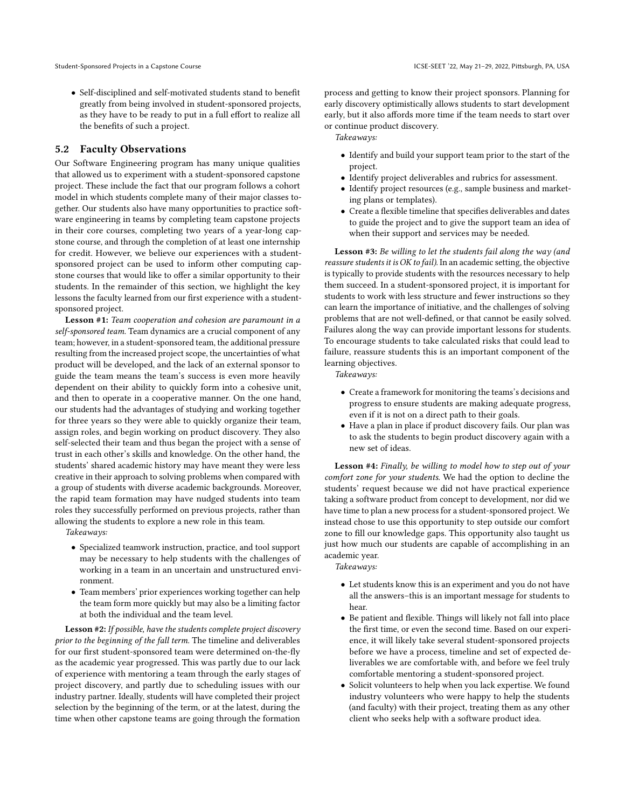• Self-disciplined and self-motivated students stand to benefit greatly from being involved in student-sponsored projects, as they have to be ready to put in a full effort to realize all the benefits of such a project.

# 5.2 Faculty Observations

Our Software Engineering program has many unique qualities that allowed us to experiment with a student-sponsored capstone project. These include the fact that our program follows a cohort model in which students complete many of their major classes together. Our students also have many opportunities to practice software engineering in teams by completing team capstone projects in their core courses, completing two years of a year-long capstone course, and through the completion of at least one internship for credit. However, we believe our experiences with a studentsponsored project can be used to inform other computing capstone courses that would like to offer a similar opportunity to their students. In the remainder of this section, we highlight the key lessons the faculty learned from our first experience with a studentsponsored project.

Lesson #1: Team cooperation and cohesion are paramount in a self-sponsored team. Team dynamics are a crucial component of any team; however, in a student-sponsored team, the additional pressure resulting from the increased project scope, the uncertainties of what product will be developed, and the lack of an external sponsor to guide the team means the team's success is even more heavily dependent on their ability to quickly form into a cohesive unit, and then to operate in a cooperative manner. On the one hand, our students had the advantages of studying and working together for three years so they were able to quickly organize their team, assign roles, and begin working on product discovery. They also self-selected their team and thus began the project with a sense of trust in each other's skills and knowledge. On the other hand, the students' shared academic history may have meant they were less creative in their approach to solving problems when compared with a group of students with diverse academic backgrounds. Moreover, the rapid team formation may have nudged students into team roles they successfully performed on previous projects, rather than allowing the students to explore a new role in this team.

Takeaways:

- Specialized teamwork instruction, practice, and tool support may be necessary to help students with the challenges of working in a team in an uncertain and unstructured environment.
- Team members' prior experiences working together can help the team form more quickly but may also be a limiting factor at both the individual and the team level.

Lesson #2: If possible, have the students complete project discovery prior to the beginning of the fall term. The timeline and deliverables for our first student-sponsored team were determined on-the-fly as the academic year progressed. This was partly due to our lack of experience with mentoring a team through the early stages of project discovery, and partly due to scheduling issues with our industry partner. Ideally, students will have completed their project selection by the beginning of the term, or at the latest, during the time when other capstone teams are going through the formation

process and getting to know their project sponsors. Planning for early discovery optimistically allows students to start development early, but it also affords more time if the team needs to start over or continue product discovery.

Takeaways:

- Identify and build your support team prior to the start of the project.
- Identify project deliverables and rubrics for assessment.
- Identify project resources (e.g., sample business and marketing plans or templates).
- Create a flexible timeline that specifies deliverables and dates to guide the project and to give the support team an idea of when their support and services may be needed.

Lesson #3: Be willing to let the students fail along the way (and reassure students it is OK to fail). In an academic setting, the objective is typically to provide students with the resources necessary to help them succeed. In a student-sponsored project, it is important for students to work with less structure and fewer instructions so they can learn the importance of initiative, and the challenges of solving problems that are not well-defined, or that cannot be easily solved. Failures along the way can provide important lessons for students. To encourage students to take calculated risks that could lead to failure, reassure students this is an important component of the learning objectives.

Takeaways:

- Create a framework for monitoring the teams's decisions and progress to ensure students are making adequate progress, even if it is not on a direct path to their goals.
- Have a plan in place if product discovery fails. Our plan was to ask the students to begin product discovery again with a new set of ideas.

Lesson #4: Finally, be willing to model how to step out of your comfort zone for your students. We had the option to decline the students' request because we did not have practical experience taking a software product from concept to development, nor did we have time to plan a new process for a student-sponsored project. We instead chose to use this opportunity to step outside our comfort zone to fill our knowledge gaps. This opportunity also taught us just how much our students are capable of accomplishing in an academic year.

Takeaways:

- Let students know this is an experiment and you do not have all the answers–this is an important message for students to hear.
- Be patient and flexible. Things will likely not fall into place the first time, or even the second time. Based on our experience, it will likely take several student-sponsored projects before we have a process, timeline and set of expected deliverables we are comfortable with, and before we feel truly comfortable mentoring a student-sponsored project.
- Solicit volunteers to help when you lack expertise. We found industry volunteers who were happy to help the students (and faculty) with their project, treating them as any other client who seeks help with a software product idea.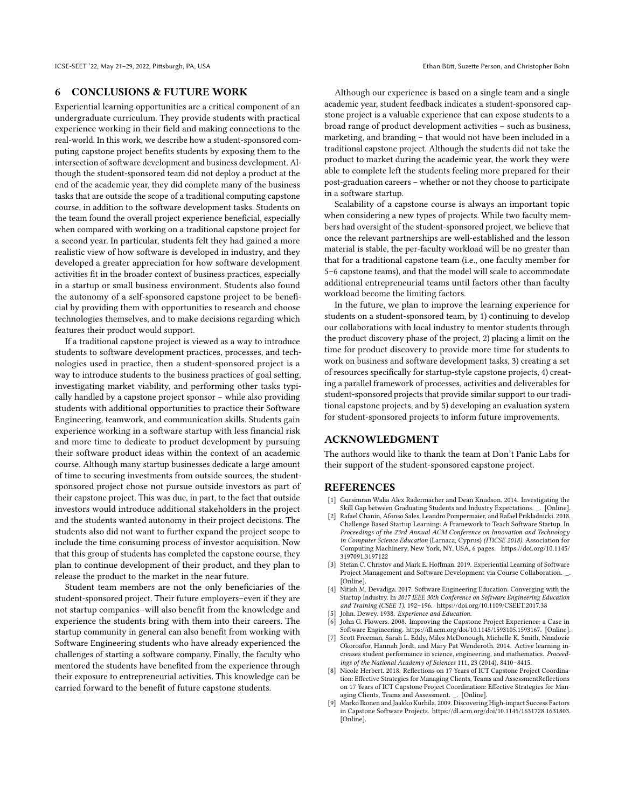#### 6 CONCLUSIONS & FUTURE WORK

Experiential learning opportunities are a critical component of an undergraduate curriculum. They provide students with practical experience working in their field and making connections to the real-world. In this work, we describe how a student-sponsored computing capstone project benefits students by exposing them to the intersection of software development and business development. Although the student-sponsored team did not deploy a product at the end of the academic year, they did complete many of the business tasks that are outside the scope of a traditional computing capstone course, in addition to the software development tasks. Students on the team found the overall project experience beneficial, especially when compared with working on a traditional capstone project for a second year. In particular, students felt they had gained a more realistic view of how software is developed in industry, and they developed a greater appreciation for how software development activities fit in the broader context of business practices, especially in a startup or small business environment. Students also found the autonomy of a self-sponsored capstone project to be beneficial by providing them with opportunities to research and choose technologies themselves, and to make decisions regarding which features their product would support.

If a traditional capstone project is viewed as a way to introduce students to software development practices, processes, and technologies used in practice, then a student-sponsored project is a way to introduce students to the business practices of goal setting, investigating market viability, and performing other tasks typically handled by a capstone project sponsor – while also providing students with additional opportunities to practice their Software Engineering, teamwork, and communication skills. Students gain experience working in a software startup with less financial risk and more time to dedicate to product development by pursuing their software product ideas within the context of an academic course. Although many startup businesses dedicate a large amount of time to securing investments from outside sources, the studentsponsored project chose not pursue outside investors as part of their capstone project. This was due, in part, to the fact that outside investors would introduce additional stakeholders in the project and the students wanted autonomy in their project decisions. The students also did not want to further expand the project scope to include the time consuming process of investor acquisition. Now that this group of students has completed the capstone course, they plan to continue development of their product, and they plan to release the product to the market in the near future.

Student team members are not the only beneficiaries of the student-sponsored project. Their future employers–even if they are not startup companies–will also benefit from the knowledge and experience the students bring with them into their careers. The startup community in general can also benefit from working with Software Engineering students who have already experienced the challenges of starting a software company. Finally, the faculty who mentored the students have benefited from the experience through their exposure to entrepreneurial activities. This knowledge can be carried forward to the benefit of future capstone students.

Although our experience is based on a single team and a single academic year, student feedback indicates a student-sponsored capstone project is a valuable experience that can expose students to a broad range of product development activities – such as business, marketing, and branding – that would not have been included in a traditional capstone project. Although the students did not take the product to market during the academic year, the work they were able to complete left the students feeling more prepared for their post-graduation careers – whether or not they choose to participate in a software startup.

Scalability of a capstone course is always an important topic when considering a new types of projects. While two faculty members had oversight of the student-sponsored project, we believe that once the relevant partnerships are well-established and the lesson material is stable, the per-faculty workload will be no greater than that for a traditional capstone team (i.e., one faculty member for 5–6 capstone teams), and that the model will scale to accommodate additional entrepreneurial teams until factors other than faculty workload become the limiting factors.

In the future, we plan to improve the learning experience for students on a student-sponsored team, by 1) continuing to develop our collaborations with local industry to mentor students through the product discovery phase of the project, 2) placing a limit on the time for product discovery to provide more time for students to work on business and software development tasks, 3) creating a set of resources specifically for startup-style capstone projects, 4) creating a parallel framework of processes, activities and deliverables for student-sponsored projects that provide similar support to our traditional capstone projects, and by 5) developing an evaluation system for student-sponsored projects to inform future improvements.

## ACKNOWLEDGMENT

The authors would like to thank the team at Don't Panic Labs for their support of the student-sponsored capstone project.

### REFERENCES

- <span id="page-9-4"></span>[1] Gursimran Walia Alex Radermacher and Dean Knudson. 2014. Investigating the Skill Gap between Graduating Students and Industry Expectations. [\\_.](_) [Online].
- <span id="page-9-6"></span>[2] Rafael Chanin, Afonso Sales, Leandro Pompermaier, and Rafael Prikladnicki. 2018. Challenge Based Startup Learning: A Framework to Teach Software Startup. In Proceedings of the 23rd Annual ACM Conference on Innovation and Technology in Computer Science Education (Larnaca, Cyprus) (ITiCSE 2018). Association for Computing Machinery, New York, NY, USA, 6 pages. [https://doi.org/10.1145/](https://doi.org/10.1145/3197091.3197122) [3197091.3197122](https://doi.org/10.1145/3197091.3197122)
- <span id="page-9-3"></span>[3] Stefan C. Christov and Mark E. Hoffman. 2019. Experiential Learning of Software Project Management and Software Development via Course Collaboration. [\\_.](_) [Online].
- <span id="page-9-5"></span>[4] Nitish M. Devadiga. 2017. Software Engineering Education: Converging with the Startup Industry. In 2017 IEEE 30th Conference on Software Engineering Education and Training (CSEE T). 192–196.<https://doi.org/10.1109/CSEET.2017.38>
- <span id="page-9-0"></span>John. Dewey. 1938. Experience and Education.
- <span id="page-9-7"></span>John G. Flowers. 2008. Improving the Capstone Project Experience: a Case in Software Engineering. [https://dl.acm.org/doi/10.1145/1593105.1593167.](https://dl.acm.org/doi/10.1145/1593105.1593167) [Online].
- <span id="page-9-1"></span>[7] Scott Freeman, Sarah L. Eddy, Miles McDonough, Michelle K. Smith, Nnadozie Okoroafor, Hannah Jordt, and Mary Pat Wenderoth. 2014. Active learning increases student performance in science, engineering, and mathematics. Proceedings of the National Academy of Sciences 111, 23 (2014), 8410–8415.
- <span id="page-9-2"></span>[8] Nicole Herbert. 2018. Reflections on 17 Years of ICT Capstone Project Coordination: Effective Strategies for Managing Clients, Teams and AssessmentReflections on 17 Years of ICT Capstone Project Coordination: Effective Strategies for Managing Clients, Teams and Assessment. [\\_.](_) [Online].
- <span id="page-9-8"></span>[9] Marko Ikonen and Jaakko Kurhila. 2009. Discovering High-impact Success Factors in Capstone Software Projects. [https://dl.acm.org/doi/10.1145/1631728.1631803.](https://dl.acm.org/doi/10.1145/1631728.1631803) [Online].